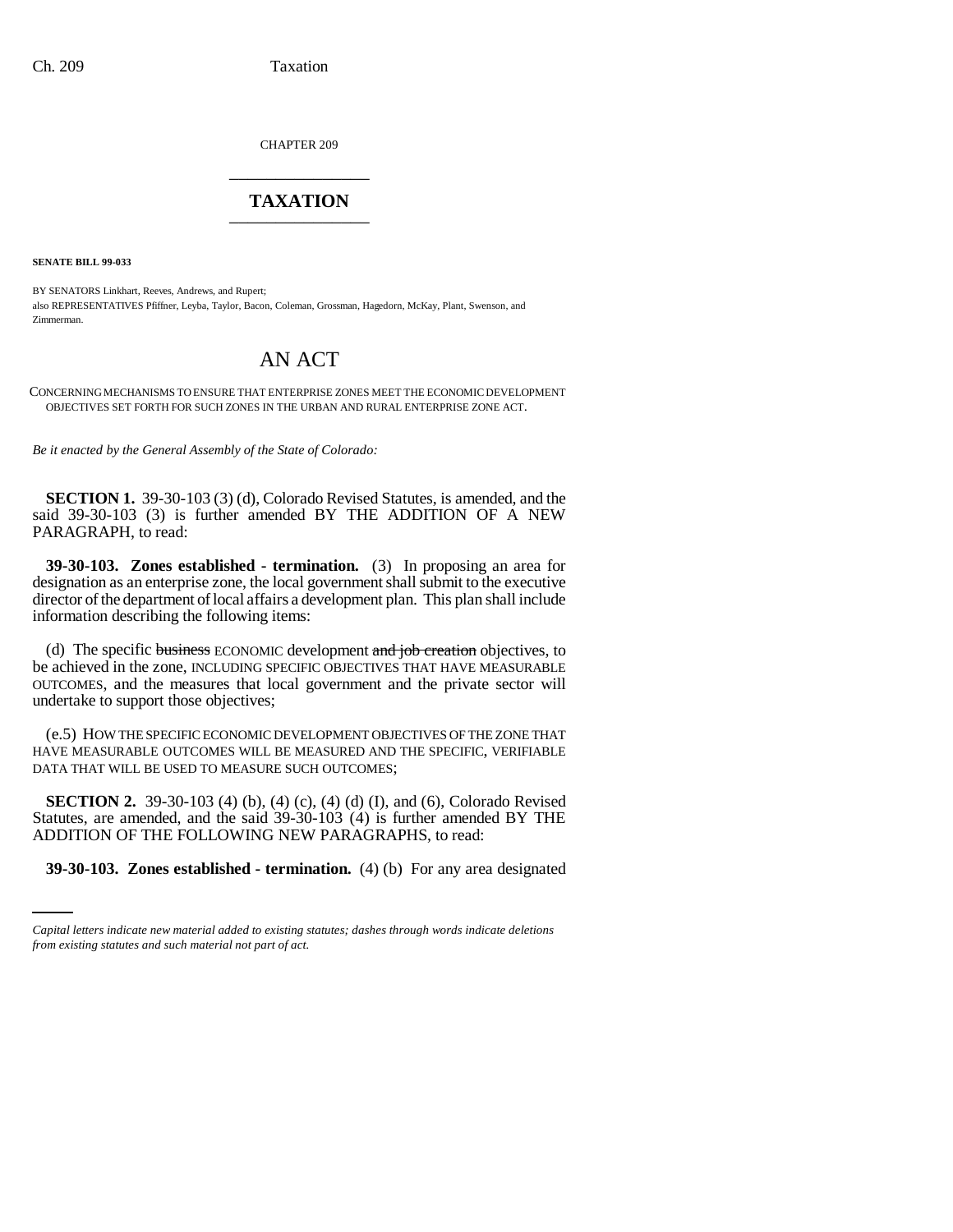CHAPTER 209 \_\_\_\_\_\_\_\_\_\_\_\_\_\_\_

## **TAXATION** \_\_\_\_\_\_\_\_\_\_\_\_\_\_\_

**SENATE BILL 99-033** 

BY SENATORS Linkhart, Reeves, Andrews, and Rupert; also REPRESENTATIVES Pfiffner, Leyba, Taylor, Bacon, Coleman, Grossman, Hagedorn, McKay, Plant, Swenson, and Zimmerman.

## AN ACT

CONCERNING MECHANISMS TO ENSURE THAT ENTERPRISE ZONES MEET THE ECONOMIC DEVELOPMENT OBJECTIVES SET FORTH FOR SUCH ZONES IN THE URBAN AND RURAL ENTERPRISE ZONE ACT.

*Be it enacted by the General Assembly of the State of Colorado:*

**SECTION 1.** 39-30-103 (3) (d), Colorado Revised Statutes, is amended, and the said 39-30-103 (3) is further amended BY THE ADDITION OF A NEW PARAGRAPH, to read:

**39-30-103. Zones established - termination.** (3) In proposing an area for designation as an enterprise zone, the local government shall submit to the executive director of the department of local affairs a development plan. This plan shall include information describing the following items:

(d) The specific business ECONOMIC development and job creation objectives, to be achieved in the zone, INCLUDING SPECIFIC OBJECTIVES THAT HAVE MEASURABLE OUTCOMES, and the measures that local government and the private sector will undertake to support those objectives;

(e.5) HOW THE SPECIFIC ECONOMIC DEVELOPMENT OBJECTIVES OF THE ZONE THAT HAVE MEASURABLE OUTCOMES WILL BE MEASURED AND THE SPECIFIC, VERIFIABLE DATA THAT WILL BE USED TO MEASURE SUCH OUTCOMES;

ADDITION OF THE FOLLOWING NEW PARAGRAPHS, to read: **SECTION 2.** 39-30-103 (4) (b), (4) (c), (4) (d) (I), and (6), Colorado Revised Statutes, are amended, and the said 39-30-103 (4) is further amended BY THE

**39-30-103. Zones established - termination.** (4) (b) For any area designated

*Capital letters indicate new material added to existing statutes; dashes through words indicate deletions from existing statutes and such material not part of act.*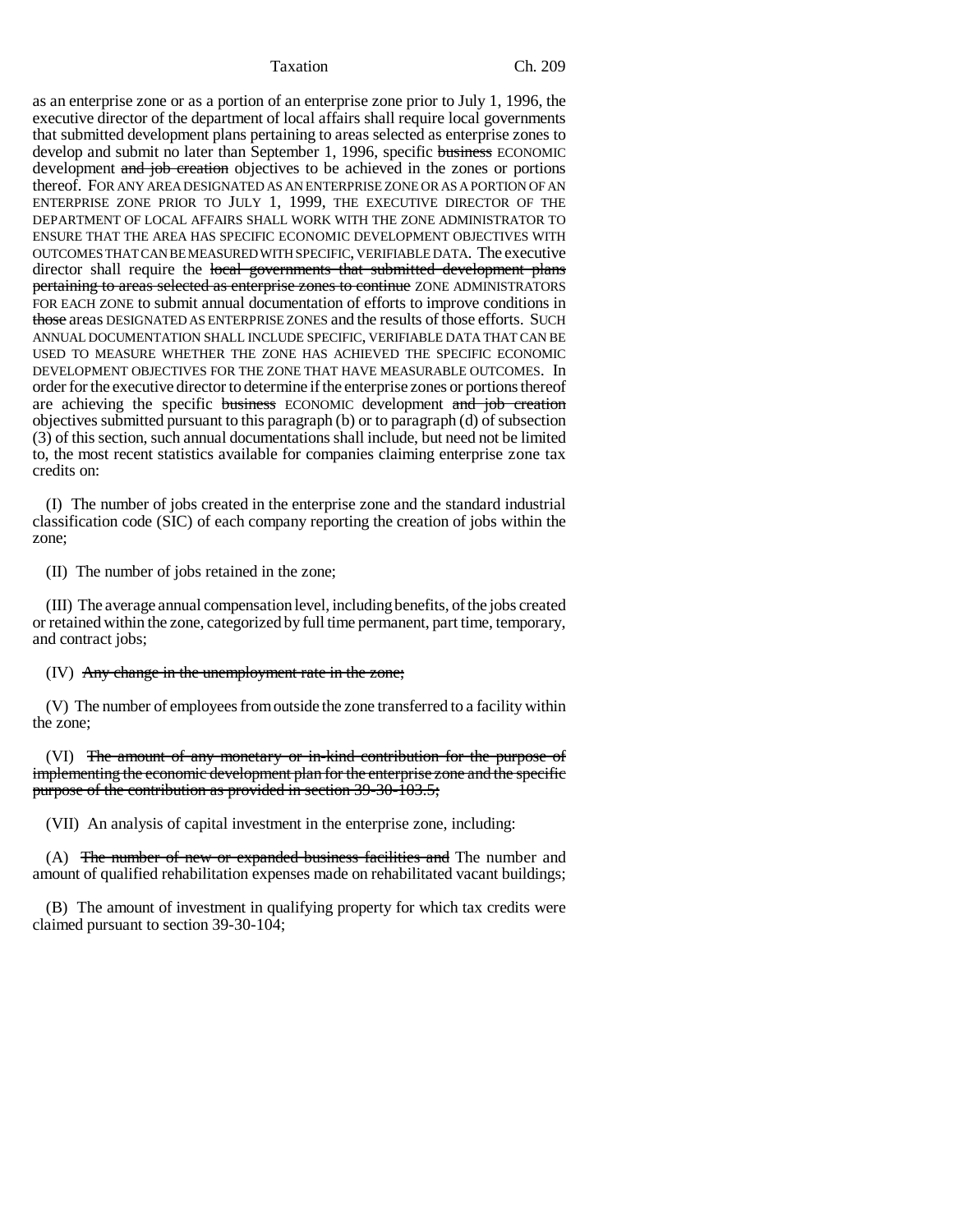Taxation Ch. 209

as an enterprise zone or as a portion of an enterprise zone prior to July 1, 1996, the executive director of the department of local affairs shall require local governments that submitted development plans pertaining to areas selected as enterprise zones to develop and submit no later than September 1, 1996, specific business ECONOMIC development and job creation objectives to be achieved in the zones or portions thereof. FOR ANY AREA DESIGNATED AS AN ENTERPRISE ZONE OR AS A PORTION OF AN ENTERPRISE ZONE PRIOR TO JULY 1, 1999, THE EXECUTIVE DIRECTOR OF THE DEPARTMENT OF LOCAL AFFAIRS SHALL WORK WITH THE ZONE ADMINISTRATOR TO ENSURE THAT THE AREA HAS SPECIFIC ECONOMIC DEVELOPMENT OBJECTIVES WITH OUTCOMES THAT CAN BE MEASURED WITH SPECIFIC, VERIFIABLE DATA. The executive director shall require the local governments that submitted development plans pertaining to areas selected as enterprise zones to continue ZONE ADMINISTRATORS FOR EACH ZONE to submit annual documentation of efforts to improve conditions in those areas DESIGNATED AS ENTERPRISE ZONES and the results of those efforts. SUCH ANNUAL DOCUMENTATION SHALL INCLUDE SPECIFIC, VERIFIABLE DATA THAT CAN BE USED TO MEASURE WHETHER THE ZONE HAS ACHIEVED THE SPECIFIC ECONOMIC DEVELOPMENT OBJECTIVES FOR THE ZONE THAT HAVE MEASURABLE OUTCOMES. In order for the executive director to determine if the enterprise zones or portions thereof are achieving the specific business ECONOMIC development and job creation objectives submitted pursuant to this paragraph (b) or to paragraph (d) of subsection (3) of this section, such annual documentations shall include, but need not be limited to, the most recent statistics available for companies claiming enterprise zone tax credits on:

(I) The number of jobs created in the enterprise zone and the standard industrial classification code (SIC) of each company reporting the creation of jobs within the zone;

(II) The number of jobs retained in the zone;

(III) The average annual compensation level, including benefits, of the jobs created or retained within the zone, categorized by full time permanent, part time, temporary, and contract jobs;

(IV) Any change in the unemployment rate in the zone;

(V) The number of employees from outside the zone transferred to a facility within the zone;

(VI) The amount of any monetary or in-kind contribution for the purpose of implementing the economic development plan for the enterprise zone and the specific purpose of the contribution as provided in section 39-30-103.5;

(VII) An analysis of capital investment in the enterprise zone, including:

(A) The number of new or expanded business facilities and The number and amount of qualified rehabilitation expenses made on rehabilitated vacant buildings;

(B) The amount of investment in qualifying property for which tax credits were claimed pursuant to section 39-30-104;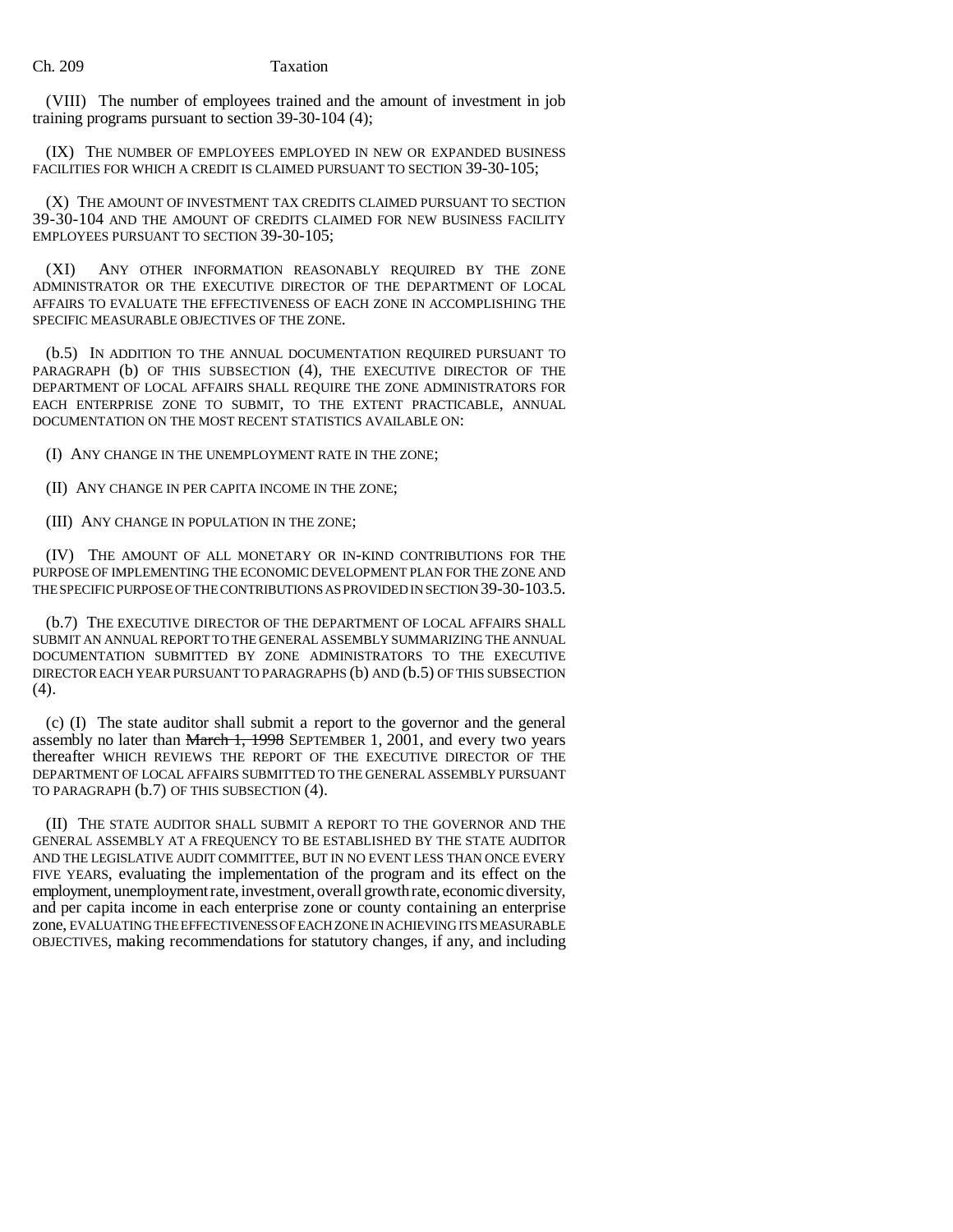(VIII) The number of employees trained and the amount of investment in job training programs pursuant to section 39-30-104 (4);

(IX) THE NUMBER OF EMPLOYEES EMPLOYED IN NEW OR EXPANDED BUSINESS FACILITIES FOR WHICH A CREDIT IS CLAIMED PURSUANT TO SECTION 39-30-105;

(X) THE AMOUNT OF INVESTMENT TAX CREDITS CLAIMED PURSUANT TO SECTION 39-30-104 AND THE AMOUNT OF CREDITS CLAIMED FOR NEW BUSINESS FACILITY EMPLOYEES PURSUANT TO SECTION 39-30-105;

(XI) ANY OTHER INFORMATION REASONABLY REQUIRED BY THE ZONE ADMINISTRATOR OR THE EXECUTIVE DIRECTOR OF THE DEPARTMENT OF LOCAL AFFAIRS TO EVALUATE THE EFFECTIVENESS OF EACH ZONE IN ACCOMPLISHING THE SPECIFIC MEASURABLE OBJECTIVES OF THE ZONE.

(b.5) IN ADDITION TO THE ANNUAL DOCUMENTATION REQUIRED PURSUANT TO PARAGRAPH (b) OF THIS SUBSECTION (4), THE EXECUTIVE DIRECTOR OF THE DEPARTMENT OF LOCAL AFFAIRS SHALL REQUIRE THE ZONE ADMINISTRATORS FOR EACH ENTERPRISE ZONE TO SUBMIT, TO THE EXTENT PRACTICABLE, ANNUAL DOCUMENTATION ON THE MOST RECENT STATISTICS AVAILABLE ON:

(I) ANY CHANGE IN THE UNEMPLOYMENT RATE IN THE ZONE;

(II) ANY CHANGE IN PER CAPITA INCOME IN THE ZONE;

(III) ANY CHANGE IN POPULATION IN THE ZONE;

(IV) THE AMOUNT OF ALL MONETARY OR IN-KIND CONTRIBUTIONS FOR THE PURPOSE OF IMPLEMENTING THE ECONOMIC DEVELOPMENT PLAN FOR THE ZONE AND THE SPECIFIC PURPOSE OF THE CONTRIBUTIONS AS PROVIDED IN SECTION 39-30-103.5.

(b.7) THE EXECUTIVE DIRECTOR OF THE DEPARTMENT OF LOCAL AFFAIRS SHALL SUBMIT AN ANNUAL REPORT TO THE GENERAL ASSEMBLY SUMMARIZING THE ANNUAL DOCUMENTATION SUBMITTED BY ZONE ADMINISTRATORS TO THE EXECUTIVE DIRECTOR EACH YEAR PURSUANT TO PARAGRAPHS (b) AND (b.5) OF THIS SUBSECTION (4).

(c) (I) The state auditor shall submit a report to the governor and the general assembly no later than March 1, 1998 SEPTEMBER 1, 2001, and every two years thereafter WHICH REVIEWS THE REPORT OF THE EXECUTIVE DIRECTOR OF THE DEPARTMENT OF LOCAL AFFAIRS SUBMITTED TO THE GENERAL ASSEMBLY PURSUANT TO PARAGRAPH (b.7) OF THIS SUBSECTION (4).

(II) THE STATE AUDITOR SHALL SUBMIT A REPORT TO THE GOVERNOR AND THE GENERAL ASSEMBLY AT A FREQUENCY TO BE ESTABLISHED BY THE STATE AUDITOR AND THE LEGISLATIVE AUDIT COMMITTEE, BUT IN NO EVENT LESS THAN ONCE EVERY FIVE YEARS, evaluating the implementation of the program and its effect on the employment, unemployment rate, investment, overall growth rate, economic diversity, and per capita income in each enterprise zone or county containing an enterprise zone, EVALUATING THE EFFECTIVENESS OF EACH ZONE IN ACHIEVING ITS MEASURABLE OBJECTIVES, making recommendations for statutory changes, if any, and including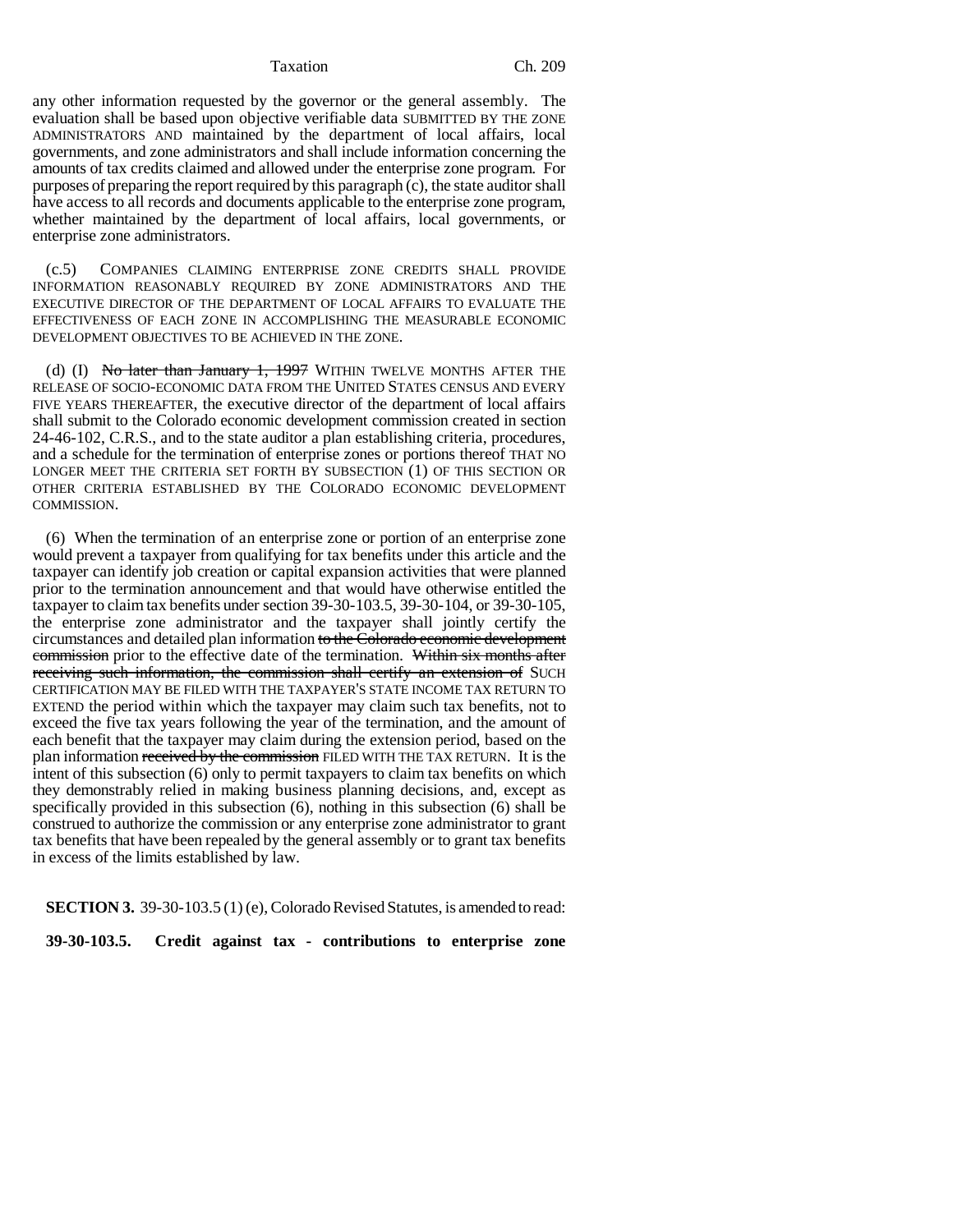Taxation Ch. 209

any other information requested by the governor or the general assembly. The evaluation shall be based upon objective verifiable data SUBMITTED BY THE ZONE ADMINISTRATORS AND maintained by the department of local affairs, local governments, and zone administrators and shall include information concerning the amounts of tax credits claimed and allowed under the enterprise zone program. For purposes of preparing the report required by this paragraph (c), the state auditor shall have access to all records and documents applicable to the enterprise zone program, whether maintained by the department of local affairs, local governments, or enterprise zone administrators.

(c.5) COMPANIES CLAIMING ENTERPRISE ZONE CREDITS SHALL PROVIDE INFORMATION REASONABLY REQUIRED BY ZONE ADMINISTRATORS AND THE EXECUTIVE DIRECTOR OF THE DEPARTMENT OF LOCAL AFFAIRS TO EVALUATE THE EFFECTIVENESS OF EACH ZONE IN ACCOMPLISHING THE MEASURABLE ECONOMIC DEVELOPMENT OBJECTIVES TO BE ACHIEVED IN THE ZONE.

(d) (I) No later than January 1, 1997 WITHIN TWELVE MONTHS AFTER THE RELEASE OF SOCIO-ECONOMIC DATA FROM THE UNITED STATES CENSUS AND EVERY FIVE YEARS THEREAFTER, the executive director of the department of local affairs shall submit to the Colorado economic development commission created in section 24-46-102, C.R.S., and to the state auditor a plan establishing criteria, procedures, and a schedule for the termination of enterprise zones or portions thereof THAT NO LONGER MEET THE CRITERIA SET FORTH BY SUBSECTION (1) OF THIS SECTION OR OTHER CRITERIA ESTABLISHED BY THE COLORADO ECONOMIC DEVELOPMENT COMMISSION.

(6) When the termination of an enterprise zone or portion of an enterprise zone would prevent a taxpayer from qualifying for tax benefits under this article and the taxpayer can identify job creation or capital expansion activities that were planned prior to the termination announcement and that would have otherwise entitled the taxpayer to claim tax benefits under section 39-30-103.5, 39-30-104, or 39-30-105, the enterprise zone administrator and the taxpayer shall jointly certify the circumstances and detailed plan information to the Colorado economic development commission prior to the effective date of the termination. Within six months after receiving such information, the commission shall certify an extension of SUCH CERTIFICATION MAY BE FILED WITH THE TAXPAYER'S STATE INCOME TAX RETURN TO EXTEND the period within which the taxpayer may claim such tax benefits, not to exceed the five tax years following the year of the termination, and the amount of each benefit that the taxpayer may claim during the extension period, based on the plan information received by the commission FILED WITH THE TAX RETURN. It is the intent of this subsection (6) only to permit taxpayers to claim tax benefits on which they demonstrably relied in making business planning decisions, and, except as specifically provided in this subsection (6), nothing in this subsection (6) shall be construed to authorize the commission or any enterprise zone administrator to grant tax benefits that have been repealed by the general assembly or to grant tax benefits in excess of the limits established by law.

**SECTION 3.** 39-30-103.5 (1) (e), Colorado Revised Statutes, is amended to read:

**39-30-103.5. Credit against tax - contributions to enterprise zone**